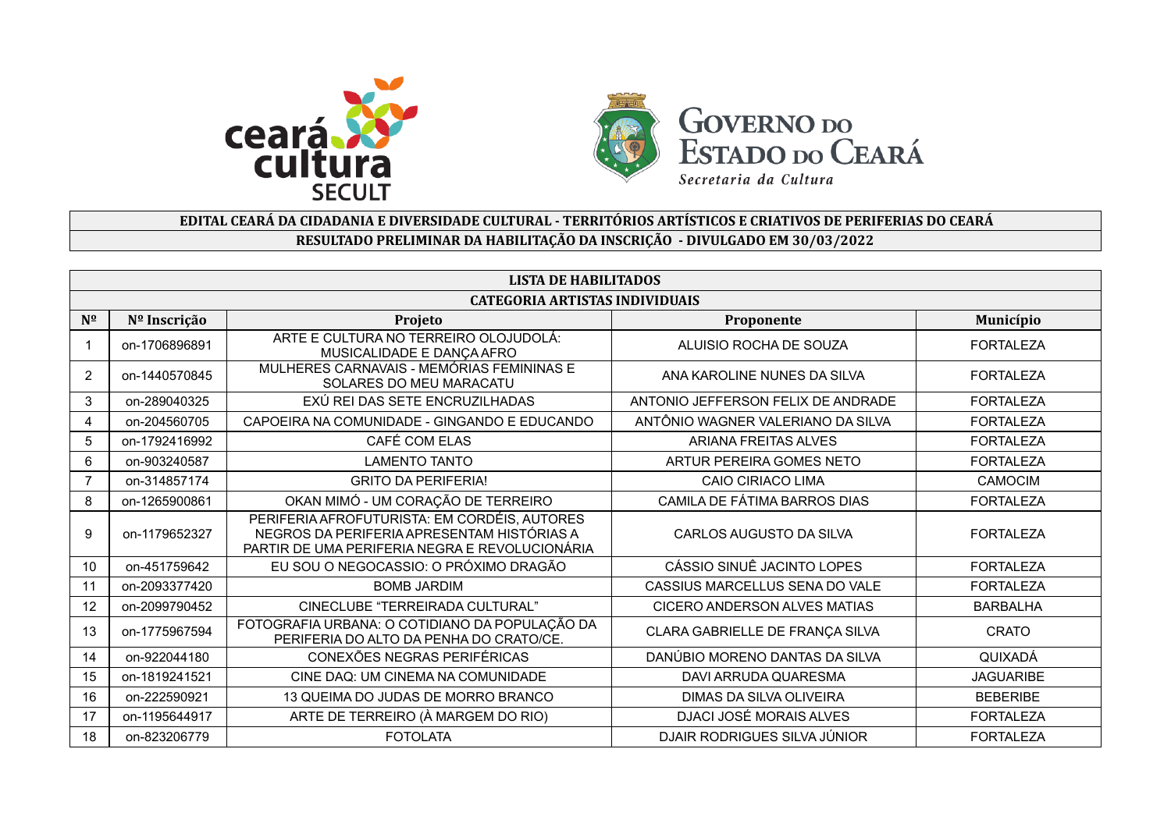



## **EDITAL CEARÁ DA CIDADANIA E DIVERSIDADE CULTURAL - TERRITÓRIOS ARTÍSTICOS E CRIATIVOS DE PERIFERIAS DO CEARÁ RESULTADO PRELIMINAR DA HABILITAÇÃO DA INSCRIÇÃO - DIVULGADO EM 30/03/2022**

|              | <b>LISTA DE HABILITADOS</b>           |                                                                                                                                              |                                     |                  |  |  |  |
|--------------|---------------------------------------|----------------------------------------------------------------------------------------------------------------------------------------------|-------------------------------------|------------------|--|--|--|
|              | <b>CATEGORIA ARTISTAS INDIVIDUAIS</b> |                                                                                                                                              |                                     |                  |  |  |  |
| $N^{\Omega}$ | Nº Inscrição                          | Projeto                                                                                                                                      | Proponente                          | Município        |  |  |  |
|              | on-1706896891                         | ARTE E CULTURA NO TERREIRO OLOJUDOLÁ:<br>MUSICALIDADE E DANÇA AFRO                                                                           | ALUISIO ROCHA DE SOUZA              | <b>FORTALEZA</b> |  |  |  |
| 2            | on-1440570845                         | MULHERES CARNAVAIS - MEMÓRIAS FEMININAS E<br>SOLARES DO MEU MARACATU                                                                         | ANA KAROLINE NUNES DA SILVA         | <b>FORTALEZA</b> |  |  |  |
| 3            | on-289040325                          | EXÚ REI DAS SETE ENCRUZILHADAS                                                                                                               | ANTONIO JEFFERSON FELIX DE ANDRADE  | <b>FORTALEZA</b> |  |  |  |
| 4            | on-204560705                          | CAPOEIRA NA COMUNIDADE - GINGANDO E EDUCANDO                                                                                                 | ANTÔNIO WAGNER VALERIANO DA SILVA   | <b>FORTALEZA</b> |  |  |  |
| 5            | on-1792416992                         | CAFÉ COM ELAS                                                                                                                                | <b>ARIANA FREITAS ALVES</b>         | <b>FORTALEZA</b> |  |  |  |
| 6            | on-903240587                          | <b>LAMENTO TANTO</b>                                                                                                                         | <b>ARTUR PEREIRA GOMES NETO</b>     | <b>FORTALEZA</b> |  |  |  |
|              | on-314857174                          | <b>GRITO DA PERIFERIA!</b>                                                                                                                   | <b>CAIO CIRIACO LIMA</b>            | CAMOCIM          |  |  |  |
| 8            | on-1265900861                         | OKAN MIMÓ - UM CORAÇÃO DE TERREIRO                                                                                                           | CAMILA DE FÁTIMA BARROS DIAS        | <b>FORTALEZA</b> |  |  |  |
| 9            | on-1179652327                         | PERIFERIA AFROFUTURISTA: EM CORDÉIS, AUTORES<br>NEGROS DA PERIFERIA APRESENTAM HISTÓRIAS A<br>PARTIR DE UMA PERIFERIA NEGRA E REVOLUCIONÁRIA | CARLOS AUGUSTO DA SILVA             | <b>FORTALEZA</b> |  |  |  |
| 10           | on-451759642                          | EU SOU O NEGOCASSIO: O PRÓXIMO DRAGÃO                                                                                                        | CÁSSIO SINUÊ JACINTO LOPES          | <b>FORTALEZA</b> |  |  |  |
| 11           | on-2093377420                         | <b>BOMB JARDIM</b>                                                                                                                           | CASSIUS MARCELLUS SENA DO VALE      | <b>FORTALEZA</b> |  |  |  |
| 12           | on-2099790452                         | CINECLUBE "TERREIRADA CULTURAL"                                                                                                              | <b>CICERO ANDERSON ALVES MATIAS</b> | <b>BARBALHA</b>  |  |  |  |
| 13           | on-1775967594                         | FOTOGRAFIA URBANA: O COTIDIANO DA POPULAÇÃO DA<br>PERIFERIA DO ALTO DA PENHA DO CRATO/CE.                                                    | CLARA GABRIELLE DE FRANÇA SILVA     | <b>CRATO</b>     |  |  |  |
| 14           | on-922044180                          | CONEXÕES NEGRAS PERIFÉRICAS                                                                                                                  | DANÚBIO MORENO DANTAS DA SILVA      | QUIXADÁ          |  |  |  |
| 15           | on-1819241521                         | CINE DAQ: UM CINEMA NA COMUNIDADE                                                                                                            | DAVI ARRUDA QUARESMA                | <b>JAGUARIBE</b> |  |  |  |
| 16           | on-222590921                          | 13 QUEIMA DO JUDAS DE MORRO BRANCO                                                                                                           | DIMAS DA SILVA OLIVEIRA             | <b>BEBERIBE</b>  |  |  |  |
| 17           | on-1195644917                         | ARTE DE TERREIRO (À MARGEM DO RIO)                                                                                                           | DJACI JOSÉ MORAIS ALVES             | <b>FORTALEZA</b> |  |  |  |
| 18           | on-823206779                          | <b>FOTOLATA</b>                                                                                                                              | DJAIR RODRIGUES SILVA JÚNIOR        | <b>FORTALEZA</b> |  |  |  |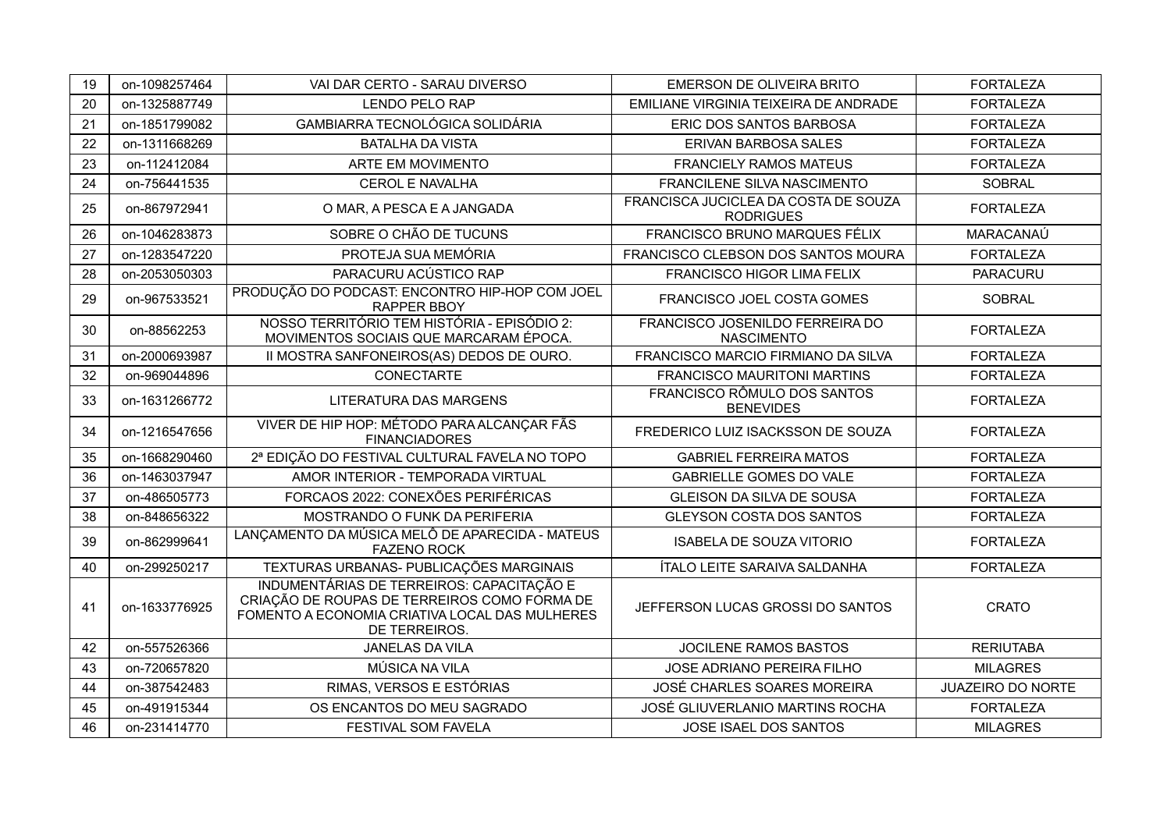| 19 | on-1098257464 | VAI DAR CERTO - SARAU DIVERSO                                                                                                                                | <b>EMERSON DE OLIVEIRA BRITO</b>                         | <b>FORTALEZA</b>         |
|----|---------------|--------------------------------------------------------------------------------------------------------------------------------------------------------------|----------------------------------------------------------|--------------------------|
| 20 | on-1325887749 | <b>LENDO PELO RAP</b>                                                                                                                                        | EMILIANE VIRGINIA TEIXEIRA DE ANDRADE                    | <b>FORTALEZA</b>         |
| 21 | on-1851799082 | GAMBIARRA TECNOLÓGICA SOLIDÁRIA                                                                                                                              | ERIC DOS SANTOS BARBOSA                                  | <b>FORTALEZA</b>         |
| 22 | on-1311668269 | <b>BATALHA DA VISTA</b>                                                                                                                                      | ERIVAN BARBOSA SALES                                     | <b>FORTALEZA</b>         |
| 23 | on-112412084  | ARTE EM MOVIMENTO                                                                                                                                            | <b>FRANCIELY RAMOS MATEUS</b>                            | <b>FORTALEZA</b>         |
| 24 | on-756441535  | <b>CEROL E NAVALHA</b>                                                                                                                                       | FRANCILENE SILVA NASCIMENTO                              | <b>SOBRAL</b>            |
| 25 | on-867972941  | O MAR, A PESCA E A JANGADA                                                                                                                                   | FRANCISCA JUCICLEA DA COSTA DE SOUZA<br><b>RODRIGUES</b> | <b>FORTALEZA</b>         |
| 26 | on-1046283873 | SOBRE O CHÃO DE TUCUNS                                                                                                                                       | FRANCISCO BRUNO MARQUES FÉLIX                            | MARACANAÚ                |
| 27 | on-1283547220 | PROTEJA SUA MEMÓRIA                                                                                                                                          | FRANCISCO CLEBSON DOS SANTOS MOURA                       | <b>FORTALEZA</b>         |
| 28 | on-2053050303 | PARACURU ACÚSTICO RAP                                                                                                                                        | <b>FRANCISCO HIGOR LIMA FELIX</b>                        | <b>PARACURU</b>          |
| 29 | on-967533521  | PRODUÇÃO DO PODCAST: ENCONTRO HIP-HOP COM JOEL<br><b>RAPPER BBOY</b>                                                                                         | FRANCISCO JOEL COSTA GOMES                               | <b>SOBRAL</b>            |
| 30 | on-88562253   | NOSSO TERRITÓRIO TEM HISTÓRIA - EPISÓDIO 2:<br>MOVIMENTOS SOCIAIS QUE MARCARAM ÉPOCA.                                                                        | FRANCISCO JOSENILDO FERREIRA DO<br><b>NASCIMENTO</b>     | <b>FORTALEZA</b>         |
| 31 | on-2000693987 | II MOSTRA SANFONEIROS(AS) DEDOS DE OURO.                                                                                                                     | FRANCISCO MARCIO FIRMIANO DA SILVA                       | <b>FORTALEZA</b>         |
| 32 | on-969044896  | CONECTARTE                                                                                                                                                   | <b>FRANCISCO MAURITONI MARTINS</b>                       | <b>FORTALEZA</b>         |
| 33 | on-1631266772 | LITERATURA DAS MARGENS                                                                                                                                       | FRANCISCO RÔMULO DOS SANTOS<br><b>BENEVIDES</b>          | <b>FORTALEZA</b>         |
| 34 | on-1216547656 | VIVER DE HIP HOP: MÉTODO PARA ALCANÇAR FÃS<br><b>FINANCIADORES</b>                                                                                           | FREDERICO LUIZ ISACKSSON DE SOUZA                        | <b>FORTALEZA</b>         |
| 35 | on-1668290460 | 2ª EDIÇÃO DO FESTIVAL CULTURAL FAVELA NO TOPO                                                                                                                | <b>GABRIEL FERREIRA MATOS</b>                            | <b>FORTALEZA</b>         |
| 36 | on-1463037947 | AMOR INTERIOR - TEMPORADA VIRTUAL                                                                                                                            | <b>GABRIELLE GOMES DO VALE</b>                           | <b>FORTALEZA</b>         |
| 37 | on-486505773  | FORCAOS 2022: CONEXÕES PERIFÉRICAS                                                                                                                           | <b>GLEISON DA SILVA DE SOUSA</b>                         | <b>FORTALEZA</b>         |
| 38 | on-848656322  | MOSTRANDO O FUNK DA PERIFERIA                                                                                                                                | <b>GLEYSON COSTA DOS SANTOS</b>                          | <b>FORTALEZA</b>         |
| 39 | on-862999641  | LANÇAMENTO DA MÚSICA MELÔ DE APARECIDA - MATEUS<br><b>FAZENO ROCK</b>                                                                                        | <b>ISABELA DE SOUZA VITORIO</b>                          | <b>FORTALEZA</b>         |
| 40 | on-299250217  | TEXTURAS URBANAS- PUBLICAÇÕES MARGINAIS                                                                                                                      | ÍTALO LEITE SARAIVA SALDANHA                             | <b>FORTALEZA</b>         |
| 41 | on-1633776925 | INDUMENTÁRIAS DE TERREIROS: CAPACITAÇÃO E<br>CRIAÇÃO DE ROUPAS DE TERREIROS COMO FORMA DE<br>FOMENTO A ECONOMIA CRIATIVA LOCAL DAS MULHERES<br>DE TERREIROS. | JEFFERSON LUCAS GROSSI DO SANTOS                         | <b>CRATO</b>             |
| 42 | on-557526366  | JANELAS DA VILA                                                                                                                                              | <b>JOCILENE RAMOS BASTOS</b>                             | <b>RERIUTABA</b>         |
| 43 | on-720657820  | MÚSICA NA VILA                                                                                                                                               | JOSE ADRIANO PEREIRA FILHO                               | <b>MILAGRES</b>          |
| 44 | on-387542483  | RIMAS, VERSOS E ESTÓRIAS                                                                                                                                     | JOSÉ CHARLES SOARES MOREIRA                              | <b>JUAZEIRO DO NORTE</b> |
| 45 | on-491915344  | OS ENCANTOS DO MEU SAGRADO                                                                                                                                   | JOSÉ GLIUVERLANIO MARTINS ROCHA                          | <b>FORTALEZA</b>         |
| 46 | on-231414770  | FESTIVAL SOM FAVELA                                                                                                                                          | JOSE ISAEL DOS SANTOS                                    | <b>MILAGRES</b>          |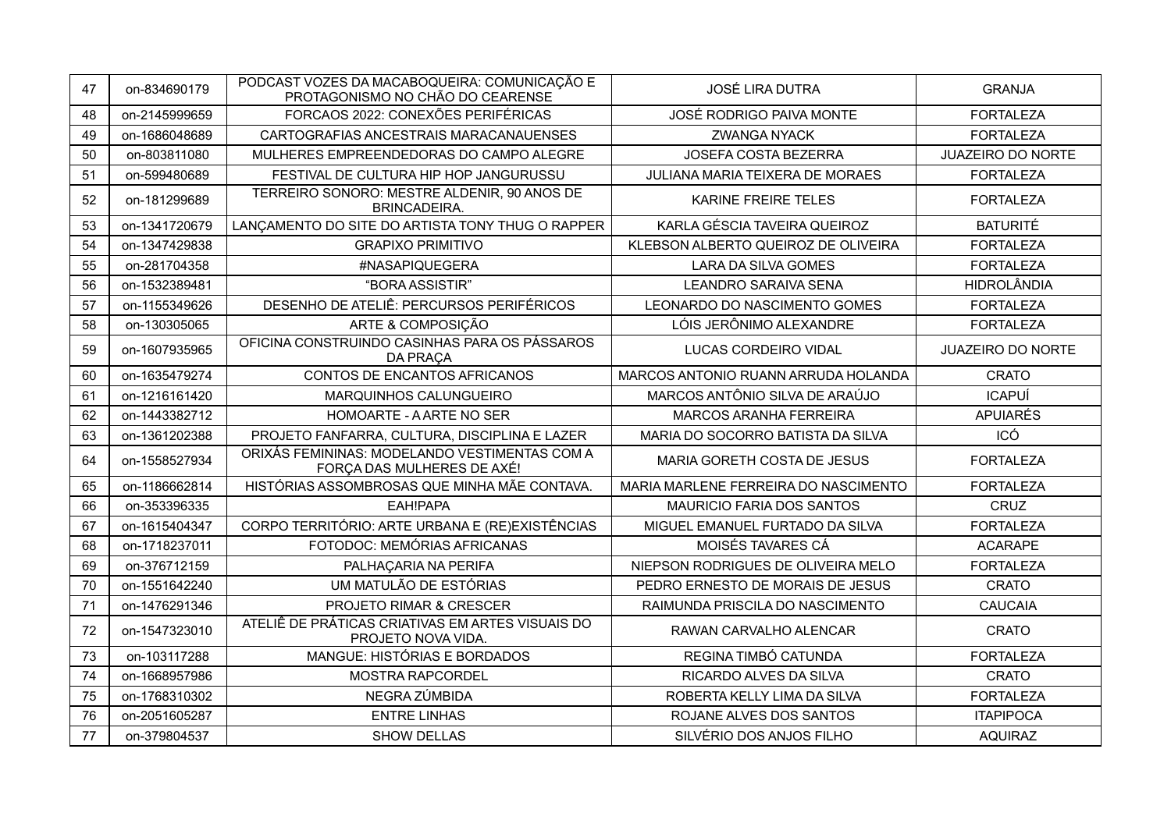| 47 | on-834690179  | PODCAST VOZES DA MACABOQUEIRA: COMUNICAÇÃO E<br>PROTAGONISMO NO CHÃO DO CEARENSE | <b>JOSÉ LIRA DUTRA</b>               | <b>GRANJA</b>            |
|----|---------------|----------------------------------------------------------------------------------|--------------------------------------|--------------------------|
| 48 | on-2145999659 | FORCAOS 2022: CONEXÕES PERIFÉRICAS                                               | JOSÉ RODRIGO PAIVA MONTE             | <b>FORTALEZA</b>         |
| 49 | on-1686048689 | CARTOGRAFIAS ANCESTRAIS MARACANAUENSES                                           | <b>ZWANGA NYACK</b>                  | <b>FORTALEZA</b>         |
| 50 | on-803811080  | MULHERES EMPREENDEDORAS DO CAMPO ALEGRE                                          | <b>JOSEFA COSTA BEZERRA</b>          | <b>JUAZEIRO DO NORTE</b> |
| 51 | on-599480689  | FESTIVAL DE CULTURA HIP HOP JANGURUSSU                                           | JULIANA MARIA TEIXERA DE MORAES      | <b>FORTALEZA</b>         |
| 52 | on-181299689  | TERREIRO SONORO: MESTRE ALDENIR, 90 ANOS DE<br><b>BRINCADEIRA.</b>               | KARINE FREIRE TELES                  | <b>FORTALEZA</b>         |
| 53 | on-1341720679 | LANÇAMENTO DO SITE DO ARTISTA TONY THUG O RAPPER                                 | KARLA GÉSCIA TAVEIRA QUEIROZ         | <b>BATURITÉ</b>          |
| 54 | on-1347429838 | <b>GRAPIXO PRIMITIVO</b>                                                         | KLEBSON ALBERTO QUEIROZ DE OLIVEIRA  | <b>FORTALEZA</b>         |
| 55 | on-281704358  | #NASAPIQUEGERA                                                                   | LARA DA SILVA GOMES                  | <b>FORTALEZA</b>         |
| 56 | on-1532389481 | "BORA ASSISTIR"                                                                  | <b>LEANDRO SARAIVA SENA</b>          | <b>HIDROLÂNDIA</b>       |
| 57 | on-1155349626 | DESENHO DE ATELIÊ: PERCURSOS PERIFÉRICOS                                         | LEONARDO DO NASCIMENTO GOMES         | <b>FORTALEZA</b>         |
| 58 | on-130305065  | ARTE & COMPOSIÇÃO                                                                | LÓIS JERÔNIMO ALEXANDRE              | <b>FORTALEZA</b>         |
| 59 | on-1607935965 | OFICINA CONSTRUINDO CASINHAS PARA OS PÁSSAROS<br>DA PRAÇA                        | LUCAS CORDEIRO VIDAL                 | <b>JUAZEIRO DO NORTE</b> |
| 60 | on-1635479274 | CONTOS DE ENCANTOS AFRICANOS                                                     | MARCOS ANTONIO RUANN ARRUDA HOLANDA  | <b>CRATO</b>             |
| 61 | on-1216161420 | MARQUINHOS CALUNGUEIRO                                                           | MARCOS ANTÔNIO SILVA DE ARAÚJO       | <b>ICAPUÍ</b>            |
| 62 | on-1443382712 | HOMOARTE - A ARTE NO SER                                                         | <b>MARCOS ARANHA FERREIRA</b>        | <b>APUIARÉS</b>          |
| 63 | on-1361202388 | PROJETO FANFARRA, CULTURA, DISCIPLINA E LAZER                                    | MARIA DO SOCORRO BATISTA DA SILVA    | ICÓ                      |
| 64 | on-1558527934 | ORIXÁS FEMININAS: MODELANDO VESTIMENTAS COM A<br>FORÇA DAS MULHERES DE AXÉ!      | MARIA GORETH COSTA DE JESUS          | <b>FORTALEZA</b>         |
| 65 | on-1186662814 | HISTÓRIAS ASSOMBROSAS QUE MINHA MÃE CONTAVA.                                     | MARIA MARLENE FERREIRA DO NASCIMENTO | <b>FORTALEZA</b>         |
| 66 | on-353396335  | EAH!PAPA                                                                         | <b>MAURICIO FARIA DOS SANTOS</b>     | <b>CRUZ</b>              |
| 67 | on-1615404347 | CORPO TERRITÓRIO: ARTE URBANA E (RE)EXISTÊNCIAS                                  | MIGUEL EMANUEL FURTADO DA SILVA      | <b>FORTALEZA</b>         |
| 68 | on-1718237011 | FOTODOC: MEMÓRIAS AFRICANAS                                                      | MOISÉS TAVARES CÁ                    | <b>ACARAPE</b>           |
| 69 | on-376712159  | PALHAÇARIA NA PERIFA                                                             | NIEPSON RODRIGUES DE OLIVEIRA MELO   | <b>FORTALEZA</b>         |
| 70 | on-1551642240 | UM MATULÃO DE ESTÓRIAS                                                           | PEDRO ERNESTO DE MORAIS DE JESUS     | <b>CRATO</b>             |
| 71 | on-1476291346 | PROJETO RIMAR & CRESCER                                                          | RAIMUNDA PRISCILA DO NASCIMENTO      | <b>CAUCAIA</b>           |
| 72 | on-1547323010 | ATELIÊ DE PRÁTICAS CRIATIVAS EM ARTES VISUAIS DO<br>PROJETO NOVA VIDA.           | RAWAN CARVALHO ALENCAR               | <b>CRATO</b>             |
| 73 | on-103117288  | MANGUE: HISTÓRIAS E BORDADOS                                                     | REGINA TIMBÓ CATUNDA                 | <b>FORTALEZA</b>         |
| 74 | on-1668957986 | MOSTRA RAPCORDEL                                                                 | RICARDO ALVES DA SILVA               | <b>CRATO</b>             |
| 75 | on-1768310302 | NEGRA ZÚMBIDA                                                                    | ROBERTA KELLY LIMA DA SILVA          | <b>FORTALEZA</b>         |
| 76 | on-2051605287 | <b>ENTRE LINHAS</b>                                                              | ROJANE ALVES DOS SANTOS              | <b>ITAPIPOCA</b>         |
| 77 | on-379804537  | <b>SHOW DELLAS</b>                                                               | SILVÉRIO DOS ANJOS FILHO             | <b>AQUIRAZ</b>           |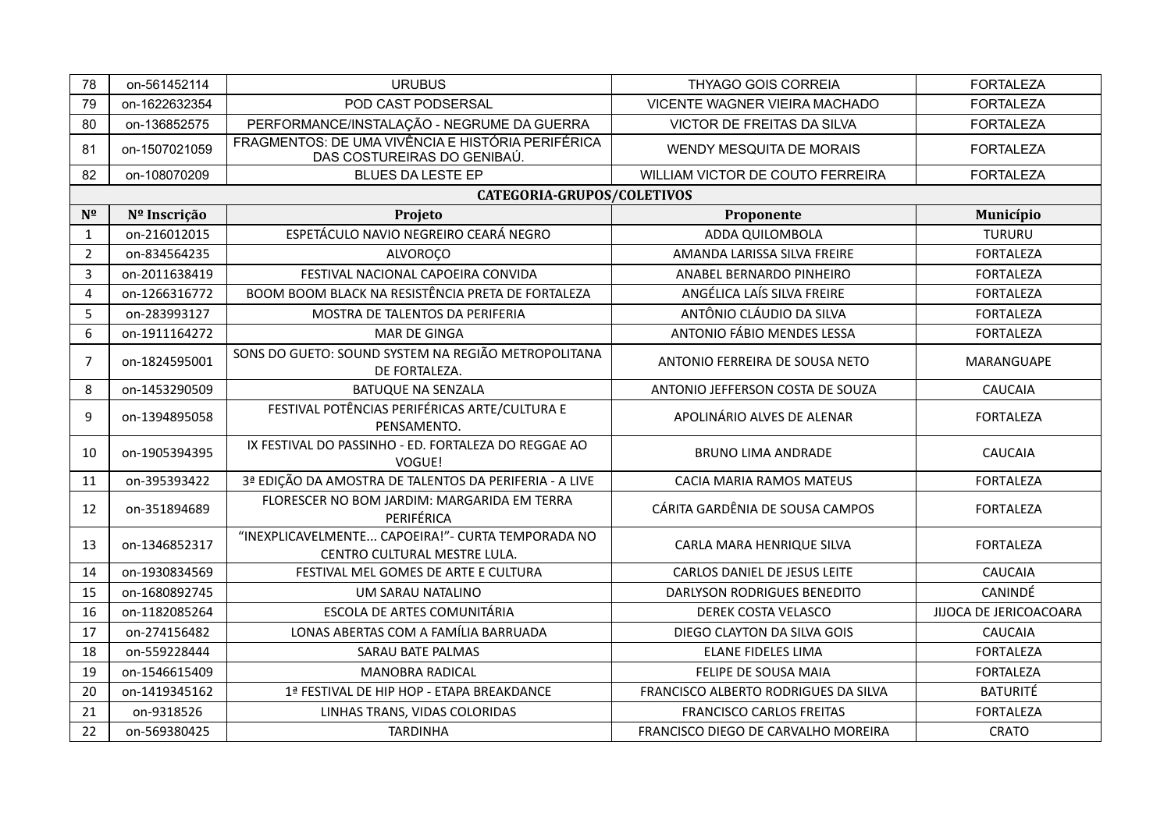| 78             | on-561452114  | <b>URUBUS</b>                                                                      | <b>THYAGO GOIS CORREIA</b>           | <b>FORTALEZA</b>       |
|----------------|---------------|------------------------------------------------------------------------------------|--------------------------------------|------------------------|
| 79             | on-1622632354 | POD CAST PODSERSAL                                                                 | <b>VICENTE WAGNER VIEIRA MACHADO</b> | <b>FORTALEZA</b>       |
| 80             | on-136852575  | PERFORMANCE/INSTALAÇÃO - NEGRUME DA GUERRA                                         | <b>VICTOR DE FREITAS DA SILVA</b>    | <b>FORTALEZA</b>       |
| 81             | on-1507021059 | FRAGMENTOS: DE UMA VIVÊNCIA E HISTÓRIA PERIFÉRICA<br>DAS COSTUREIRAS DO GENIBAÚ.   | <b>WENDY MESQUITA DE MORAIS</b>      | <b>FORTALEZA</b>       |
| 82             | on-108070209  | <b>BLUES DA LESTE EP</b>                                                           | WILLIAM VICTOR DE COUTO FERREIRA     | <b>FORTALEZA</b>       |
|                |               | <b>CATEGORIA-GRUPOS/COLETIVOS</b>                                                  |                                      |                        |
| $N^{\Omega}$   | Nº Inscrição  | Projeto                                                                            | Proponente                           | Município              |
| 1              | on-216012015  | ESPETÁCULO NAVIO NEGREIRO CEARÁ NEGRO                                              | ADDA QUILOMBOLA                      | <b>TURURU</b>          |
| $\overline{2}$ | on-834564235  | <b>ALVOROÇO</b>                                                                    | AMANDA LARISSA SILVA FREIRE          | <b>FORTALEZA</b>       |
| 3              | on-2011638419 | FESTIVAL NACIONAL CAPOEIRA CONVIDA                                                 | ANABEL BERNARDO PINHEIRO             | <b>FORTALEZA</b>       |
| $\overline{4}$ | on-1266316772 | BOOM BOOM BLACK NA RESISTÊNCIA PRETA DE FORTALEZA                                  | ANGÉLICA LAÍS SILVA FREIRE           | <b>FORTALEZA</b>       |
| 5              | on-283993127  | MOSTRA DE TALENTOS DA PERIFERIA                                                    | ANTÔNIO CLÁUDIO DA SILVA             | <b>FORTALEZA</b>       |
| 6              | on-1911164272 | <b>MAR DE GINGA</b>                                                                | <b>ANTONIO FÁBIO MENDES LESSA</b>    | <b>FORTALEZA</b>       |
| 7              | on-1824595001 | SONS DO GUETO: SOUND SYSTEM NA REGIÃO METROPOLITANA<br>DE FORTALEZA.               | ANTONIO FERREIRA DE SOUSA NETO       | <b>MARANGUAPE</b>      |
| 8              | on-1453290509 | <b>BATUQUE NA SENZALA</b>                                                          | ANTONIO JEFFERSON COSTA DE SOUZA     | <b>CAUCAIA</b>         |
| 9              | on-1394895058 | FESTIVAL POTÊNCIAS PERIFÉRICAS ARTE/CULTURA E<br>PENSAMENTO.                       | APOLINÁRIO ALVES DE ALENAR           | <b>FORTALEZA</b>       |
| 10             | on-1905394395 | IX FESTIVAL DO PASSINHO - ED. FORTALEZA DO REGGAE AO<br>VOGUE!                     | <b>BRUNO LIMA ANDRADE</b>            | <b>CAUCAIA</b>         |
| 11             | on-395393422  | 3ª EDIÇÃO DA AMOSTRA DE TALENTOS DA PERIFERIA - A LIVE                             | <b>CACIA MARIA RAMOS MATEUS</b>      | <b>FORTALEZA</b>       |
| 12             | on-351894689  | FLORESCER NO BOM JARDIM: MARGARIDA EM TERRA<br>PERIFÉRICA                          | CÁRITA GARDÊNIA DE SOUSA CAMPOS      | <b>FORTALEZA</b>       |
| 13             | on-1346852317 | "INEXPLICAVELMENTE CAPOEIRA!" - CURTA TEMPORADA NO<br>CENTRO CULTURAL MESTRE LULA. | CARLA MARA HENRIQUE SILVA            | <b>FORTALEZA</b>       |
| 14             | on-1930834569 | FESTIVAL MEL GOMES DE ARTE E CULTURA                                               | CARLOS DANIEL DE JESUS LEITE         | <b>CAUCAIA</b>         |
| 15             | on-1680892745 | <b>UM SARAU NATALINO</b>                                                           | DARLYSON RODRIGUES BENEDITO          | CANINDÉ                |
| 16             | on-1182085264 | ESCOLA DE ARTES COMUNITÁRIA                                                        | DEREK COSTA VELASCO                  | JIJOCA DE JERICOACOARA |
| 17             | on-274156482  | LONAS ABERTAS COM A FAMÍLIA BARRUADA                                               | DIEGO CLAYTON DA SILVA GOIS          | <b>CAUCAIA</b>         |
| 18             | on-559228444  | SARAU BATE PALMAS                                                                  | <b>ELANE FIDELES LIMA</b>            | <b>FORTALEZA</b>       |
| 19             | on-1546615409 | <b>MANOBRA RADICAL</b>                                                             | FELIPE DE SOUSA MAIA                 | <b>FORTALEZA</b>       |
| 20             | on-1419345162 | 1ª FESTIVAL DE HIP HOP - ETAPA BREAKDANCE                                          | FRANCISCO ALBERTO RODRIGUES DA SILVA | <b>BATURITÉ</b>        |
| 21             | on-9318526    | LINHAS TRANS, VIDAS COLORIDAS                                                      | <b>FRANCISCO CARLOS FREITAS</b>      | <b>FORTALEZA</b>       |
| 22             | on-569380425  | <b>TARDINHA</b>                                                                    | FRANCISCO DIEGO DE CARVALHO MOREIRA  | <b>CRATO</b>           |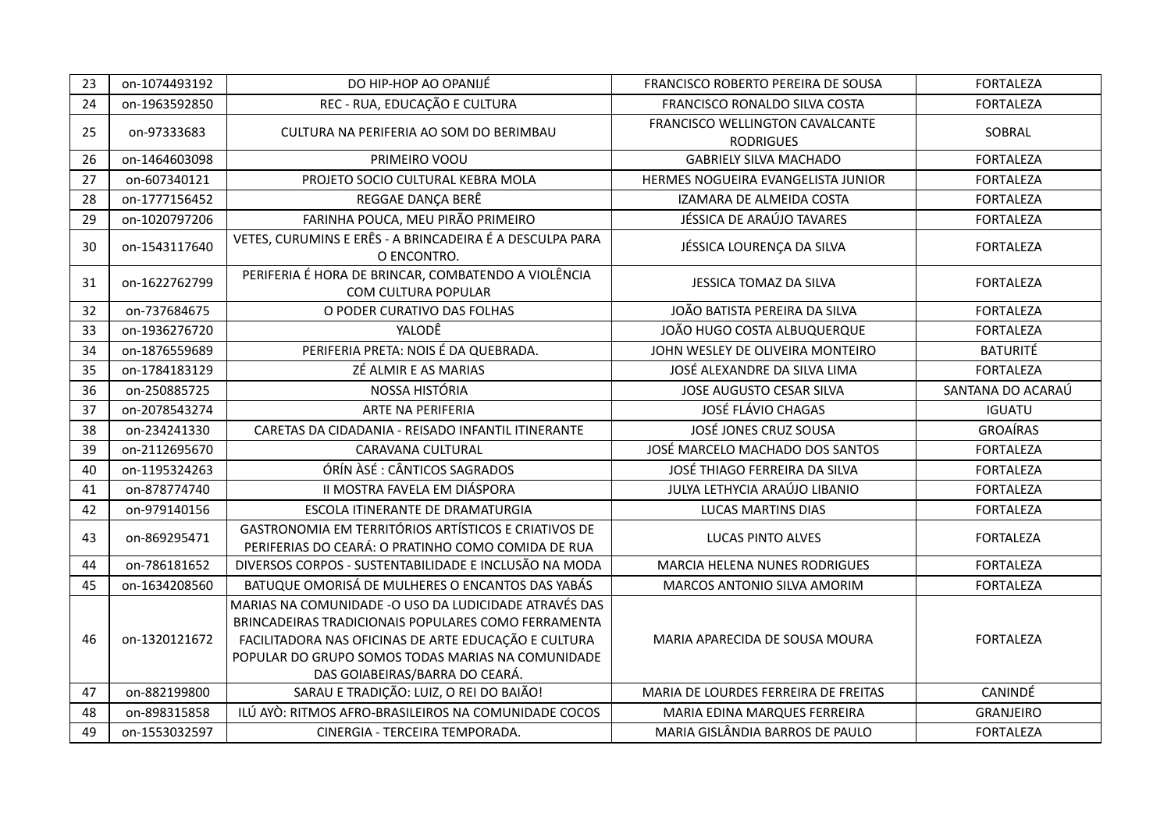| 23 | on-1074493192 | DO HIP-HOP AO OPANIJÉ                                                                                                                                                                                                                                       | FRANCISCO ROBERTO PEREIRA DE SOUSA                  | <b>FORTALEZA</b>  |
|----|---------------|-------------------------------------------------------------------------------------------------------------------------------------------------------------------------------------------------------------------------------------------------------------|-----------------------------------------------------|-------------------|
| 24 | on-1963592850 | REC - RUA, EDUCAÇÃO E CULTURA                                                                                                                                                                                                                               | FRANCISCO RONALDO SILVA COSTA                       | <b>FORTALEZA</b>  |
| 25 | on-97333683   | CULTURA NA PERIFERIA AO SOM DO BERIMBAU                                                                                                                                                                                                                     | FRANCISCO WELLINGTON CAVALCANTE<br><b>RODRIGUES</b> | SOBRAL            |
| 26 | on-1464603098 | PRIMEIRO VOOU                                                                                                                                                                                                                                               | <b>GABRIELY SILVA MACHADO</b>                       | <b>FORTALEZA</b>  |
| 27 | on-607340121  | PROJETO SOCIO CULTURAL KEBRA MOLA                                                                                                                                                                                                                           | HERMES NOGUEIRA EVANGELISTA JUNIOR                  | <b>FORTALEZA</b>  |
| 28 | on-1777156452 | REGGAE DANÇA BERÊ                                                                                                                                                                                                                                           | IZAMARA DE ALMEIDA COSTA                            | <b>FORTALEZA</b>  |
| 29 | on-1020797206 | FARINHA POUCA, MEU PIRÃO PRIMEIRO                                                                                                                                                                                                                           | JÉSSICA DE ARAÚJO TAVARES                           | <b>FORTALEZA</b>  |
| 30 | on-1543117640 | VETES, CURUMINS E ERÊS - A BRINCADEIRA É A DESCULPA PARA<br>O ENCONTRO.                                                                                                                                                                                     | JÉSSICA LOURENÇA DA SILVA                           | <b>FORTALEZA</b>  |
| 31 | on-1622762799 | PERIFERIA É HORA DE BRINCAR, COMBATENDO A VIOLÊNCIA<br>COM CULTURA POPULAR                                                                                                                                                                                  | JESSICA TOMAZ DA SILVA                              | <b>FORTALEZA</b>  |
| 32 | on-737684675  | O PODER CURATIVO DAS FOLHAS                                                                                                                                                                                                                                 | JOÃO BATISTA PEREIRA DA SILVA                       | <b>FORTALEZA</b>  |
| 33 | on-1936276720 | YALODÊ                                                                                                                                                                                                                                                      | JOÃO HUGO COSTA ALBUQUERQUE                         | <b>FORTALEZA</b>  |
| 34 | on-1876559689 | PERIFERIA PRETA: NOIS É DA QUEBRADA.                                                                                                                                                                                                                        | JOHN WESLEY DE OLIVEIRA MONTEIRO                    | <b>BATURITÉ</b>   |
| 35 | on-1784183129 | ZÉ ALMIR E AS MARIAS                                                                                                                                                                                                                                        | JOSÉ ALEXANDRE DA SILVA LIMA                        | <b>FORTALEZA</b>  |
| 36 | on-250885725  | NOSSA HISTÓRIA                                                                                                                                                                                                                                              | JOSE AUGUSTO CESAR SILVA                            | SANTANA DO ACARAÚ |
| 37 | on-2078543274 | ARTE NA PERIFERIA                                                                                                                                                                                                                                           | JOSÉ FLÁVIO CHAGAS                                  | <b>IGUATU</b>     |
| 38 | on-234241330  | CARETAS DA CIDADANIA - REISADO INFANTIL ITINERANTE                                                                                                                                                                                                          | JOSÉ JONES CRUZ SOUSA                               | <b>GROAÍRAS</b>   |
| 39 | on-2112695670 | CARAVANA CULTURAL                                                                                                                                                                                                                                           | JOSÉ MARCELO MACHADO DOS SANTOS                     | <b>FORTALEZA</b>  |
| 40 | on-1195324263 | ÓRÍN ÀSÉ : CÂNTICOS SAGRADOS                                                                                                                                                                                                                                | JOSÉ THIAGO FERREIRA DA SILVA                       | <b>FORTALEZA</b>  |
| 41 | on-878774740  | II MOSTRA FAVELA EM DIÁSPORA                                                                                                                                                                                                                                | JULYA LETHYCIA ARAÚJO LIBANIO                       | <b>FORTALEZA</b>  |
| 42 | on-979140156  | ESCOLA ITINERANTE DE DRAMATURGIA                                                                                                                                                                                                                            | <b>LUCAS MARTINS DIAS</b>                           | <b>FORTALEZA</b>  |
| 43 | on-869295471  | GASTRONOMIA EM TERRITÓRIOS ARTÍSTICOS E CRIATIVOS DE<br>PERIFERIAS DO CEARÁ: O PRATINHO COMO COMIDA DE RUA                                                                                                                                                  | LUCAS PINTO ALVES                                   | <b>FORTALEZA</b>  |
| 44 | on-786181652  | DIVERSOS CORPOS - SUSTENTABILIDADE E INCLUSÃO NA MODA                                                                                                                                                                                                       | <b>MARCIA HELENA NUNES RODRIGUES</b>                | <b>FORTALEZA</b>  |
| 45 | on-1634208560 | BATUQUE OMORISÁ DE MULHERES O ENCANTOS DAS YABÁS                                                                                                                                                                                                            | MARCOS ANTONIO SILVA AMORIM                         | <b>FORTALEZA</b>  |
| 46 | on-1320121672 | MARIAS NA COMUNIDADE -O USO DA LUDICIDADE ATRAVÉS DAS<br>BRINCADEIRAS TRADICIONAIS POPULARES COMO FERRAMENTA<br>FACILITADORA NAS OFICINAS DE ARTE EDUCAÇÃO E CULTURA<br>POPULAR DO GRUPO SOMOS TODAS MARIAS NA COMUNIDADE<br>DAS GOIABEIRAS/BARRA DO CEARÁ. | MARIA APARECIDA DE SOUSA MOURA                      | <b>FORTALEZA</b>  |
| 47 | on-882199800  | SARAU E TRADIÇÃO: LUIZ, O REI DO BAIÃO!                                                                                                                                                                                                                     | MARIA DE LOURDES FERREIRA DE FREITAS                | <b>CANINDE</b>    |
| 48 | on-898315858  | ILÚ AYÒ: RITMOS AFRO-BRASILEIROS NA COMUNIDADE COCOS                                                                                                                                                                                                        | <b>MARIA EDINA MARQUES FERREIRA</b>                 | <b>GRANJEIRO</b>  |
| 49 | on-1553032597 | CINERGIA - TERCEIRA TEMPORADA.                                                                                                                                                                                                                              | MARIA GISLÂNDIA BARROS DE PAULO                     | <b>FORTALEZA</b>  |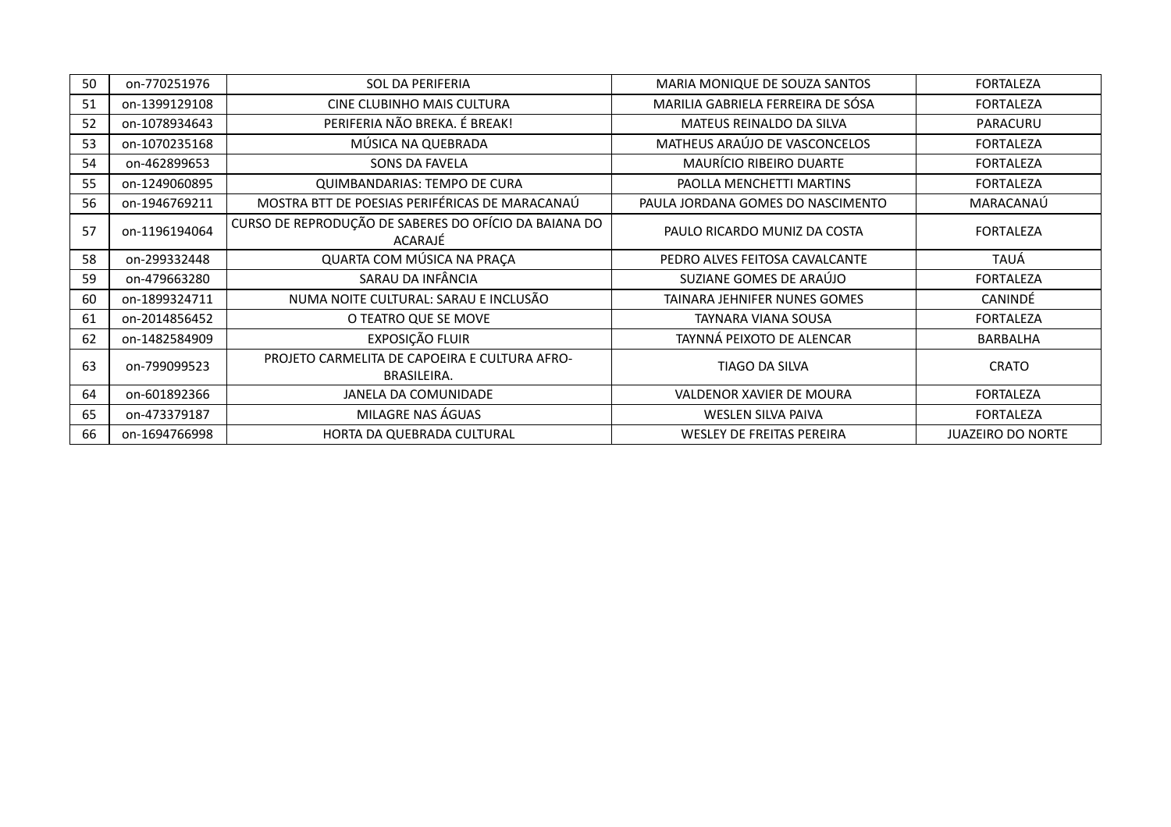| 50 | on-770251976  | <b>SOL DA PERIFERIA</b>                                          | MARIA MONIQUE DE SOUZA SANTOS     | <b>FORTALEZA</b>         |
|----|---------------|------------------------------------------------------------------|-----------------------------------|--------------------------|
| 51 | on-1399129108 | CINE CLUBINHO MAIS CULTURA                                       | MARILIA GABRIELA FERREIRA DE SÓSA | <b>FORTALEZA</b>         |
| 52 | on-1078934643 | PERIFERIA NÃO BREKA. É BREAK!                                    | <b>MATEUS REINALDO DA SILVA</b>   | PARACURU                 |
| 53 | on-1070235168 | MÚSICA NA QUEBRADA                                               | MATHEUS ARAÚJO DE VASCONCELOS     | <b>FORTALEZA</b>         |
| 54 | on-462899653  | SONS DA FAVELA                                                   | MAURÍCIO RIBEIRO DUARTE           | <b>FORTALEZA</b>         |
| 55 | on-1249060895 | QUIMBANDARIAS: TEMPO DE CURA                                     | PAOLLA MENCHETTI MARTINS          | <b>FORTALEZA</b>         |
| 56 | on-1946769211 | MOSTRA BTT DE POESIAS PERIFÉRICAS DE MARACANAÚ                   | PAULA JORDANA GOMES DO NASCIMENTO | MARACANAÚ                |
| 57 | on-1196194064 | CURSO DE REPRODUÇÃO DE SABERES DO OFÍCIO DA BAIANA DO<br>ACARAJÉ | PAULO RICARDO MUNIZ DA COSTA      | <b>FORTALEZA</b>         |
| 58 | on-299332448  | QUARTA COM MÚSICA NA PRAÇA                                       | PEDRO ALVES FEITOSA CAVALCANTE    | TAUÁ                     |
| 59 | on-479663280  | SARAU DA INFÂNCIA                                                | SUZIANE GOMES DE ARAÚJO           | <b>FORTALEZA</b>         |
| 60 | on-1899324711 | NUMA NOITE CULTURAL: SARAU E INCLUSÃO                            | TAINARA JEHNIFER NUNES GOMES      | CANINDÉ                  |
| 61 | on-2014856452 | O TEATRO QUE SE MOVE                                             | TAYNARA VIANA SOUSA               | <b>FORTALEZA</b>         |
| 62 | on-1482584909 | EXPOSIÇÃO FLUIR                                                  | TAYNNÁ PEIXOTO DE ALENCAR         | BARBALHA                 |
| 63 | on-799099523  | PROJETO CARMELITA DE CAPOEIRA E CULTURA AFRO-<br>BRASILEIRA.     | <b>TIAGO DA SILVA</b>             | <b>CRATO</b>             |
| 64 | on-601892366  | JANELA DA COMUNIDADE                                             | VALDENOR XAVIER DE MOURA          | <b>FORTALEZA</b>         |
| 65 | on-473379187  | MILAGRE NAS ÁGUAS                                                | WESLEN SILVA PAIVA                | <b>FORTALEZA</b>         |
| 66 | on-1694766998 | HORTA DA QUEBRADA CULTURAL                                       | <b>WESLEY DE FREITAS PEREIRA</b>  | <b>JUAZEIRO DO NORTE</b> |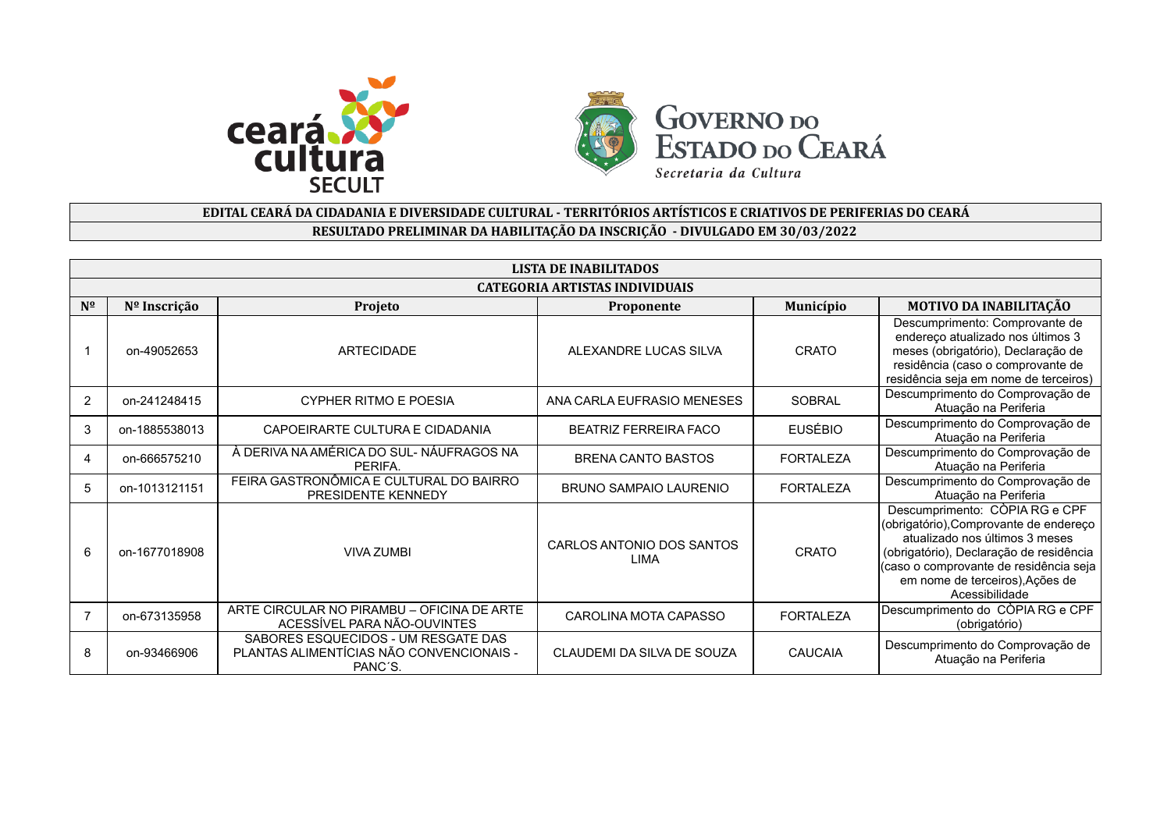



## **EDITAL CEARÁ DA CIDADANIA E DIVERSIDADE CULTURAL - TERRITÓRIOS ARTÍSTICOS E CRIATIVOS DE PERIFERIAS DO CEARÁ RESULTADO PRELIMINAR DA HABILITAÇÃO DA INSCRIÇÃO - DIVULGADO EM 30/03/2022**

|              | LISTA DE INABILITADOS |                                                                                            |                                       |                  |                                                                                                                                                                                                                                                      |  |
|--------------|-----------------------|--------------------------------------------------------------------------------------------|---------------------------------------|------------------|------------------------------------------------------------------------------------------------------------------------------------------------------------------------------------------------------------------------------------------------------|--|
|              |                       |                                                                                            | <b>CATEGORIA ARTISTAS INDIVIDUAIS</b> |                  |                                                                                                                                                                                                                                                      |  |
| $N^{\Omega}$ | Nº Inscrição          | Projeto                                                                                    | Proponente                            | Município        | MOTIVO DA INABILITAÇÃO                                                                                                                                                                                                                               |  |
|              | on-49052653           | ARTECIDADE                                                                                 | ALEXANDRE LUCAS SILVA                 | CRATO            | Descumprimento: Comprovante de<br>endereço atualizado nos últimos 3<br>meses (obrigatório), Declaração de<br>residência (caso o comprovante de<br>residência seja em nome de terceiros)                                                              |  |
| 2            | on-241248415          | <b>CYPHER RITMO E POESIA</b>                                                               | ANA CARLA EUFRASIO MENESES            | <b>SOBRAL</b>    | Descumprimento do Comprovação de<br>Atuação na Periferia                                                                                                                                                                                             |  |
| 3            | on-1885538013         | CAPOEIRARTE CULTURA E CIDADANIA                                                            | BEATRIZ FERREIRA FACO                 | <b>EUSÉBIO</b>   | Descumprimento do Comprovação de<br>Atuação na Periferia                                                                                                                                                                                             |  |
| 4            | on-666575210          | À DERIVA NA AMÉRICA DO SUL-NÁUFRAGOS NA<br>PERIFA.                                         | <b>BRENA CANTO BASTOS</b>             | <b>FORTALEZA</b> | Descumprimento do Comprovação de<br>Atuação na Periferia                                                                                                                                                                                             |  |
| 5            | on-1013121151         | FEIRA GASTRONÔMICA E CULTURAL DO BAIRRO<br>PRESIDENTE KENNEDY                              | <b>BRUNO SAMPAIO LAURENIO</b>         | <b>FORTALEZA</b> | Descumprimento do Comprovação de<br>Atuação na Periferia                                                                                                                                                                                             |  |
| 6            | on-1677018908         | <b>VIVA ZUMBI</b>                                                                          | CARLOS ANTONIO DOS SANTOS<br>LIMA     | CRATO            | Descumprimento: CÒPIA RG e CPF<br>(obrigatório), Comprovante de endereço<br>atualizado nos últimos 3 meses<br>(obrigatório), Declaração de residência<br>(caso o comprovante de residência seja<br>em nome de terceiros), Ações de<br>Acessibilidade |  |
|              | on-673135958          | ARTE CIRCULAR NO PIRAMBU - OFICINA DE ARTE<br>ACESSÍVEL PARA NÃO-OUVINTES                  | CAROLINA MOTA CAPASSO                 | <b>FORTALEZA</b> | Descumprimento do CÒPIA RG e CPF<br>(obrigatório)                                                                                                                                                                                                    |  |
| 8            | on-93466906           | SABORES ESQUECIDOS - UM RESGATE DAS<br>PLANTAS ALIMENTÍCIAS NÃO CONVENCIONAIS -<br>PANC'S. | CLAUDEMI DA SILVA DE SOUZA            | CAUCAIA          | Descumprimento do Comprovação de<br>Atuação na Periferia                                                                                                                                                                                             |  |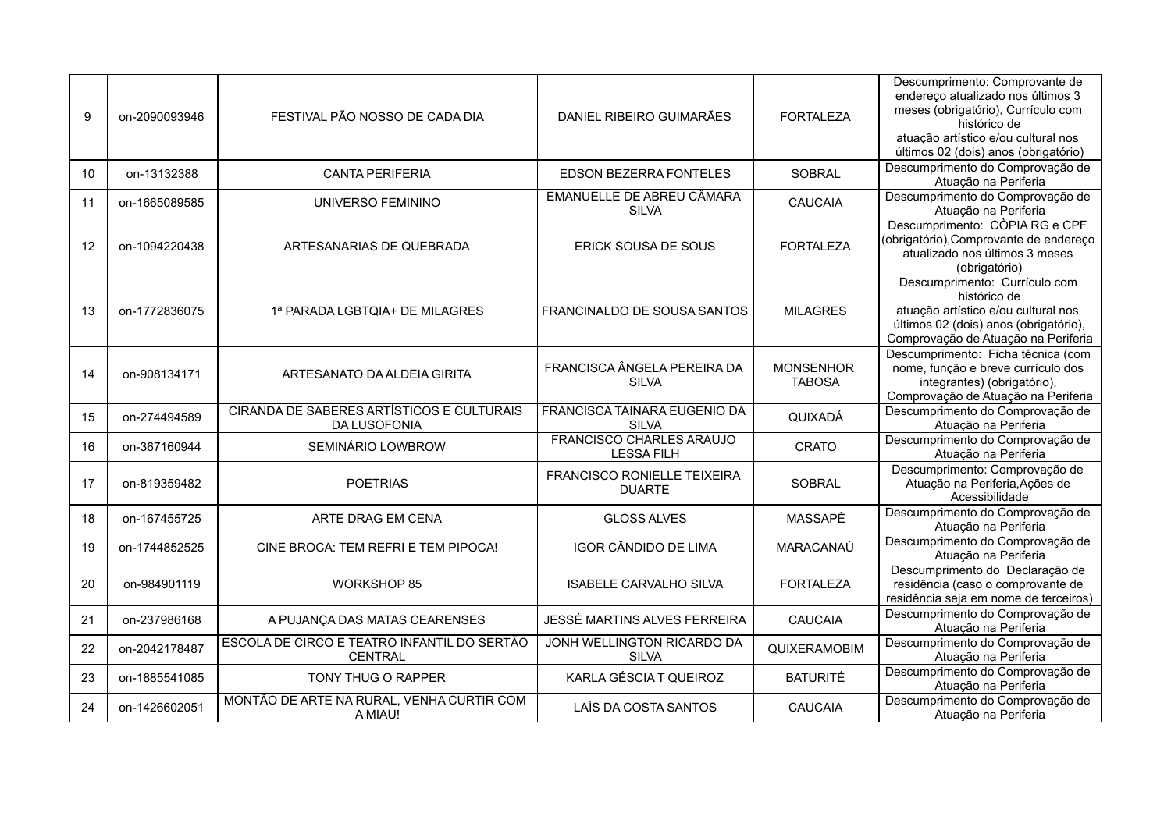| 9  | on-2090093946 | FESTIVAL PÃO NOSSO DE CADA DIA                                   | DANIEL RIBEIRO GUIMARÃES                             | <b>FORTALEZA</b>                  | Descumprimento: Comprovante de<br>endereço atualizado nos últimos 3<br>meses (obrigatório), Currículo com<br>histórico de<br>atuação artístico e/ou cultural nos<br>últimos 02 (dois) anos (obrigatório) |
|----|---------------|------------------------------------------------------------------|------------------------------------------------------|-----------------------------------|----------------------------------------------------------------------------------------------------------------------------------------------------------------------------------------------------------|
| 10 | on-13132388   | <b>CANTA PERIFERIA</b>                                           | <b>EDSON BEZERRA FONTELES</b>                        | <b>SOBRAL</b>                     | Descumprimento do Comprovação de<br>Atuação na Periferia                                                                                                                                                 |
| 11 | on-1665089585 | UNIVERSO FEMININO                                                | EMANUELLE DE ABREU CÂMARA<br><b>SILVA</b>            | <b>CAUCAIA</b>                    | Descumprimento do Comprovação de<br>Atuação na Periferia                                                                                                                                                 |
| 12 | on-1094220438 | ARTESANARIAS DE QUEBRADA                                         | ERICK SOUSA DE SOUS                                  | <b>FORTALEZA</b>                  | Descumprimento: CÒPIA RG e CPF<br>(obrigatório), Comprovante de endereço<br>atualizado nos últimos 3 meses<br>(obrigatório)                                                                              |
| 13 | on-1772836075 | 1ª PARADA LGBTQIA+ DE MILAGRES                                   | FRANCINALDO DE SOUSA SANTOS                          | <b>MILAGRES</b>                   | Descumprimento: Currículo com<br>histórico de<br>atuação artístico e/ou cultural nos<br>últimos 02 (dois) anos (obrigatório),<br>Comprovação de Atuação na Periferia                                     |
| 14 | on-908134171  | ARTESANATO DA ALDEIA GIRITA                                      | FRANCISCA ÂNGELA PEREIRA DA<br><b>SILVA</b>          | <b>MONSENHOR</b><br><b>TABOSA</b> | Descumprimento: Ficha técnica (com<br>nome, função e breve currículo dos<br>integrantes) (obrigatório),<br>Comprovação de Atuação na Periferia                                                           |
| 15 | on-274494589  | CIRANDA DE SABERES ARTÍSTICOS E CULTURAIS<br><b>DA LUSOFONIA</b> | FRANCISCA TAINARA EUGENIO DA<br><b>SILVA</b>         | QUIXADÁ                           | Descumprimento do Comprovação de<br>Atuação na Periferia                                                                                                                                                 |
| 16 | on-367160944  | SEMINÁRIO LOWBROW                                                | <b>FRANCISCO CHARLES ARAUJO</b><br><b>LESSA FILH</b> | <b>CRATO</b>                      | Descumprimento do Comprovação de<br>Atuação na Periferia                                                                                                                                                 |
| 17 | on-819359482  | <b>POETRIAS</b>                                                  | <b>FRANCISCO RONIELLE TEIXEIRA</b><br><b>DUARTE</b>  | <b>SOBRAL</b>                     | Descumprimento: Comprovação de<br>Atuação na Periferia, Ações de<br>Acessibilidade                                                                                                                       |
| 18 | on-167455725  | ARTE DRAG EM CENA                                                | <b>GLOSS ALVES</b>                                   | MASSAPÊ                           | Descumprimento do Comprovação de<br>Atuação na Periferia                                                                                                                                                 |
| 19 | on-1744852525 | CINE BROCA: TEM REFRI E TEM PIPOCA!                              | <b>IGOR CÂNDIDO DE LIMA</b>                          | MARACANAÚ                         | Descumprimento do Comprovação de<br>Atuação na Periferia                                                                                                                                                 |
| 20 | on-984901119  | <b>WORKSHOP 85</b>                                               | <b>ISABELE CARVALHO SILVA</b>                        | <b>FORTALEZA</b>                  | Descumprimento do Declaração de<br>residência (caso o comprovante de<br>residência seja em nome de terceiros)                                                                                            |
| 21 | on-237986168  | A PUJANÇA DAS MATAS CEARENSES                                    | JESSÉ MARTINS ALVES FERREIRA                         | CAUCAIA                           | Descumprimento do Comprovação de<br>Atuação na Periferia                                                                                                                                                 |
| 22 | on-2042178487 | ESCOLA DE CIRCO E TEATRO INFANTIL DO SERTÃO<br><b>CENTRAL</b>    | JONH WELLINGTON RICARDO DA<br><b>SILVA</b>           | QUIXERAMOBIM                      | Descumprimento do Comprovação de<br>Atuação na Periferia                                                                                                                                                 |
| 23 | on-1885541085 | TONY THUG O RAPPER                                               | KARLA GÉSCIA T QUEIROZ                               | <b>BATURITÉ</b>                   | Descumprimento do Comprovação de<br>Atuação na Periferia                                                                                                                                                 |
| 24 | on-1426602051 | MONTÃO DE ARTE NA RURAL, VENHA CURTIR COM<br>A MIAU!             | LAÍS DA COSTA SANTOS                                 | <b>CAUCAIA</b>                    | Descumprimento do Comprovação de<br>Atuação na Periferia                                                                                                                                                 |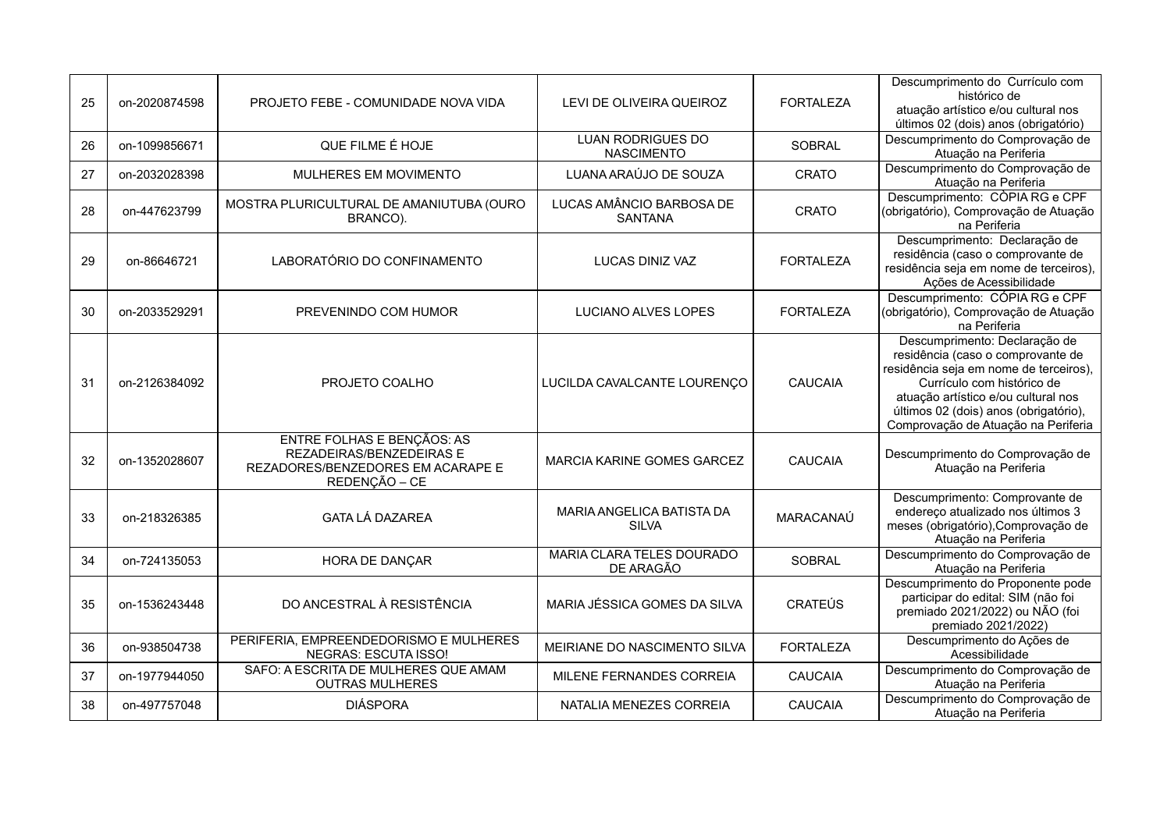| 25 | on-2020874598 | PROJETO FEBE - COMUNIDADE NOVA VIDA                                                                                 | LEVI DE OLIVEIRA QUEIROZ                      | <b>FORTALEZA</b> | Descumprimento do Currículo com<br>histórico de<br>atuação artístico e/ou cultural nos<br>últimos 02 (dois) anos (obrigatório)                                                                                                                                    |
|----|---------------|---------------------------------------------------------------------------------------------------------------------|-----------------------------------------------|------------------|-------------------------------------------------------------------------------------------------------------------------------------------------------------------------------------------------------------------------------------------------------------------|
| 26 | on-1099856671 | QUE FILME É HOJE                                                                                                    | <b>LUAN RODRIGUES DO</b><br><b>NASCIMENTO</b> | <b>SOBRAL</b>    | Descumprimento do Comprovação de<br>Atuação na Periferia                                                                                                                                                                                                          |
| 27 | on-2032028398 | MULHERES EM MOVIMENTO                                                                                               | LUANA ARAÚJO DE SOUZA                         | <b>CRATO</b>     | Descumprimento do Comprovação de<br>Atuação na Periferia                                                                                                                                                                                                          |
| 28 | on-447623799  | MOSTRA PLURICULTURAL DE AMANIUTUBA (OURO<br>BRANCO).                                                                | LUCAS AMÂNCIO BARBOSA DE<br><b>SANTANA</b>    | <b>CRATO</b>     | Descumprimento: CÒPIA RG e CPF<br>(obrigatório), Comprovação de Atuação<br>na Periferia                                                                                                                                                                           |
| 29 | on-86646721   | LABORATÓRIO DO CONFINAMENTO                                                                                         | <b>LUCAS DINIZ VAZ</b>                        | <b>FORTALEZA</b> | Descumprimento: Declaração de<br>residência (caso o comprovante de<br>residência seja em nome de terceiros),<br>Ações de Acessibilidade                                                                                                                           |
| 30 | on-2033529291 | PREVENINDO COM HUMOR                                                                                                | <b>LUCIANO ALVES LOPES</b>                    | <b>FORTALEZA</b> | Descumprimento: CÓPIA RG e CPF<br>(obrigatório), Comprovação de Atuação<br>na Periferia                                                                                                                                                                           |
| 31 | on-2126384092 | PROJETO COALHO                                                                                                      | LUCILDA CAVALCANTE LOURENÇO                   | <b>CAUCAIA</b>   | Descumprimento: Declaração de<br>residência (caso o comprovante de<br>residência seja em nome de terceiros),<br>Currículo com histórico de<br>atuação artístico e/ou cultural nos<br>últimos 02 (dois) anos (obrigatório),<br>Comprovação de Atuação na Periferia |
| 32 | on-1352028607 | <b>ENTRE FOLHAS E BENÇÃOS: AS</b><br>REZADEIRAS/BENZEDEIRAS E<br>REZADORES/BENZEDORES EM ACARAPE E<br>REDENÇÃO - CE | MARCIA KARINE GOMES GARCEZ                    | <b>CAUCAIA</b>   | Descumprimento do Comprovação de<br>Atuação na Periferia                                                                                                                                                                                                          |
| 33 | on-218326385  | <b>GATA LÁ DAZAREA</b>                                                                                              | MARIA ANGELICA BATISTA DA<br><b>SILVA</b>     | MARACANAÚ        | Descumprimento: Comprovante de<br>endereço atualizado nos últimos 3<br>meses (obrigatório), Comprovação de<br>Atuação na Periferia                                                                                                                                |
| 34 | on-724135053  | HORA DE DANÇAR                                                                                                      | MARIA CLARA TELES DOURADO<br>DE ARAGÃO        | <b>SOBRAL</b>    | Descumprimento do Comprovação de<br>Atuação na Periferia                                                                                                                                                                                                          |
| 35 | on-1536243448 | DO ANCESTRAL À RESISTÊNCIA                                                                                          | MARIA JÉSSICA GOMES DA SILVA                  | <b>CRATEÚS</b>   | Descumprimento do Proponente pode<br>participar do edital: SIM (não foi<br>premiado 2021/2022) ou NÃO (foi<br>premiado 2021/2022)                                                                                                                                 |
| 36 | on-938504738  | PERIFERIA, EMPREENDEDORISMO E MULHERES<br>NEGRAS: ESCUTA ISSO!                                                      | MEIRIANE DO NASCIMENTO SILVA                  | <b>FORTALEZA</b> | Descumprimento do Ações de<br>Acessibilidade                                                                                                                                                                                                                      |
| 37 | on-1977944050 | SAFO: A ESCRITA DE MULHERES QUE AMAM<br><b>OUTRAS MULHERES</b>                                                      | MILENE FERNANDES CORREIA                      | <b>CAUCAIA</b>   | Descumprimento do Comprovação de<br>Atuação na Periferia                                                                                                                                                                                                          |
| 38 | on-497757048  | <b>DIÁSPORA</b>                                                                                                     | NATALIA MENEZES CORREIA                       | CAUCAIA          | Descumprimento do Comprovação de<br>Atuação na Periferia                                                                                                                                                                                                          |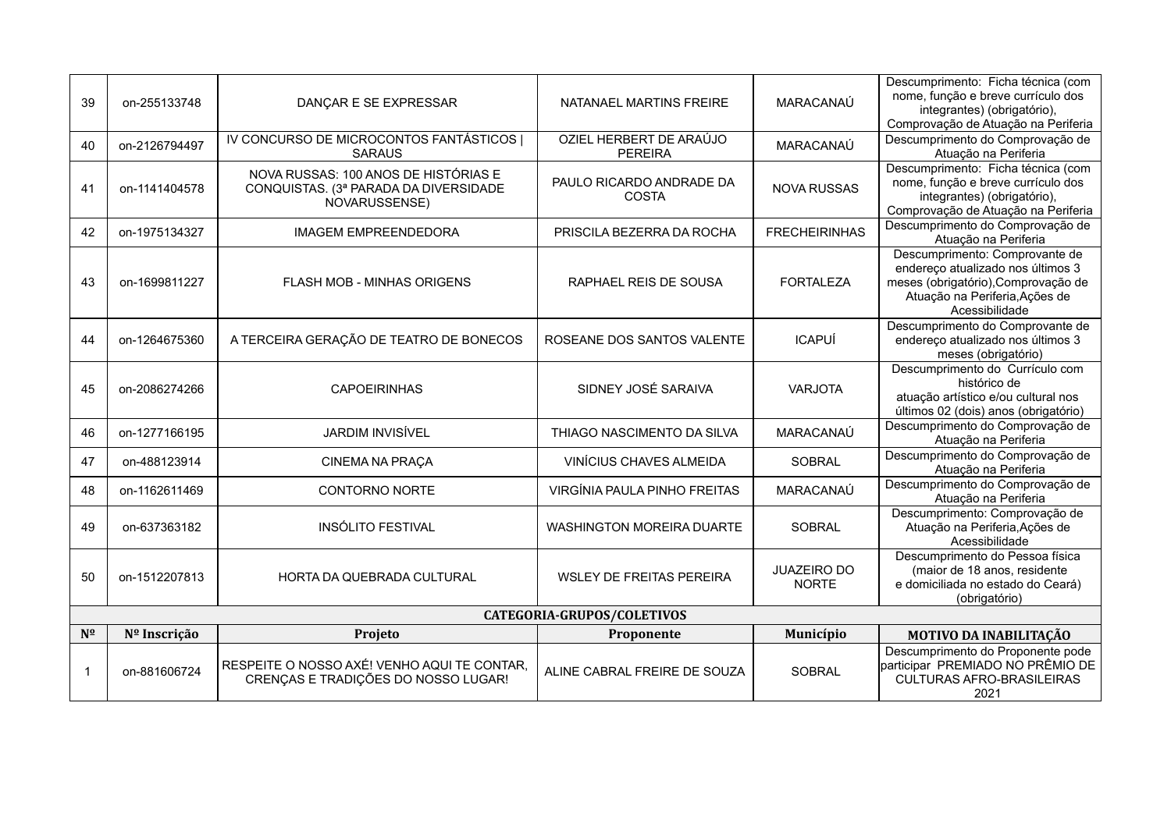| 39           | on-255133748               | DANÇAR E SE EXPRESSAR                                                                          | NATANAEL MARTINS FREIRE                   | MARACANAÚ                          | Descumprimento: Ficha técnica (com<br>nome, função e breve currículo dos<br>integrantes) (obrigatório),<br>Comprovação de Atuação na Periferia                 |  |  |
|--------------|----------------------------|------------------------------------------------------------------------------------------------|-------------------------------------------|------------------------------------|----------------------------------------------------------------------------------------------------------------------------------------------------------------|--|--|
| 40           | on-2126794497              | IV CONCURSO DE MICROCONTOS FANTÁSTICOS  <br><b>SARAUS</b>                                      | OZIEL HERBERT DE ARAÚJO<br><b>PEREIRA</b> | MARACANAÚ                          | Descumprimento do Comprovação de<br>Atuação na Periferia                                                                                                       |  |  |
| 41           | on-1141404578              | NOVA RUSSAS: 100 ANOS DE HISTÓRIAS E<br>CONQUISTAS. (3ª PARADA DA DIVERSIDADE<br>NOVARUSSENSE) | PAULO RICARDO ANDRADE DA<br>COSTA         | <b>NOVA RUSSAS</b>                 | Descumprimento: Ficha técnica (com<br>nome, função e breve currículo dos<br>integrantes) (obrigatório),<br>Comprovação de Atuação na Periferia                 |  |  |
| 42           | on-1975134327              | <b>IMAGEM EMPREENDEDORA</b>                                                                    | PRISCILA BEZERRA DA ROCHA                 | <b>FRECHEIRINHAS</b>               | Descumprimento do Comprovação de<br>Atuação na Periferia                                                                                                       |  |  |
| 43           | on-1699811227              | <b>FLASH MOB - MINHAS ORIGENS</b>                                                              | RAPHAEL REIS DE SOUSA                     | <b>FORTALEZA</b>                   | Descumprimento: Comprovante de<br>endereço atualizado nos últimos 3<br>meses (obrigatório), Comprovação de<br>Atuação na Periferia, Ações de<br>Acessibilidade |  |  |
| 44           | on-1264675360              | A TERCEIRA GERAÇÃO DE TEATRO DE BONECOS                                                        | ROSEANE DOS SANTOS VALENTE                | <b>ICAPUÍ</b>                      | Descumprimento do Comprovante de<br>endereço atualizado nos últimos 3<br>meses (obrigatório)                                                                   |  |  |
| 45           | on-2086274266              | <b>CAPOEIRINHAS</b>                                                                            | SIDNEY JOSÉ SARAIVA                       | <b>VARJOTA</b>                     | Descumprimento do Currículo com<br>histórico de<br>atuação artístico e/ou cultural nos<br>últimos 02 (dois) anos (obrigatório)                                 |  |  |
| 46           | on-1277166195              | <b>JARDIM INVISÍVEL</b>                                                                        | THIAGO NASCIMENTO DA SILVA                | MARACANAÚ                          | Descumprimento do Comprovação de<br>Atuação na Periferia                                                                                                       |  |  |
| 47           | on-488123914               | <b>CINEMA NA PRAÇA</b>                                                                         | VINÍCIUS CHAVES ALMEIDA                   | <b>SOBRAL</b>                      | Descumprimento do Comprovação de<br>Atuação na Periferia                                                                                                       |  |  |
| 48           | on-1162611469              | <b>CONTORNO NORTE</b>                                                                          | VIRGÍNIA PAULA PINHO FREITAS              | MARACANAÚ                          | Descumprimento do Comprovação de<br>Atuação na Periferia                                                                                                       |  |  |
| 49           | on-637363182               | <b>INSÓLITO FESTIVAL</b>                                                                       | <b>WASHINGTON MOREIRA DUARTE</b>          | SOBRAL                             | Descumprimento: Comprovação de<br>Atuação na Periferia, Ações de<br>Acessibilidade                                                                             |  |  |
| 50           | on-1512207813              | HORTA DA QUEBRADA CULTURAL                                                                     | <b>WSLEY DE FREITAS PEREIRA</b>           | <b>JUAZEIRO DO</b><br><b>NORTE</b> | Descumprimento do Pessoa física<br>(maior de 18 anos, residente<br>e domiciliada no estado do Ceará)<br>(obrigatório)                                          |  |  |
|              | CATEGORIA-GRUPOS/COLETIVOS |                                                                                                |                                           |                                    |                                                                                                                                                                |  |  |
| $N^{\Omega}$ | Nº Inscrição               | Projeto                                                                                        | Proponente                                | Município                          | MOTIVO DA INABILITAÇÃO                                                                                                                                         |  |  |
| $\mathbf{1}$ | on-881606724               | RESPEITE O NOSSO AXÉ! VENHO AQUI TE CONTAR.<br>CRENÇAS E TRADIÇÕES DO NOSSO LUGAR!             | ALINE CABRAL FREIRE DE SOUZA              | SOBRAL                             | Descumprimento do Proponente pode<br>participar PREMIADO NO PRÊMIO DE<br><b>CULTURAS AFRO-BRASILEIRAS</b><br>2021                                              |  |  |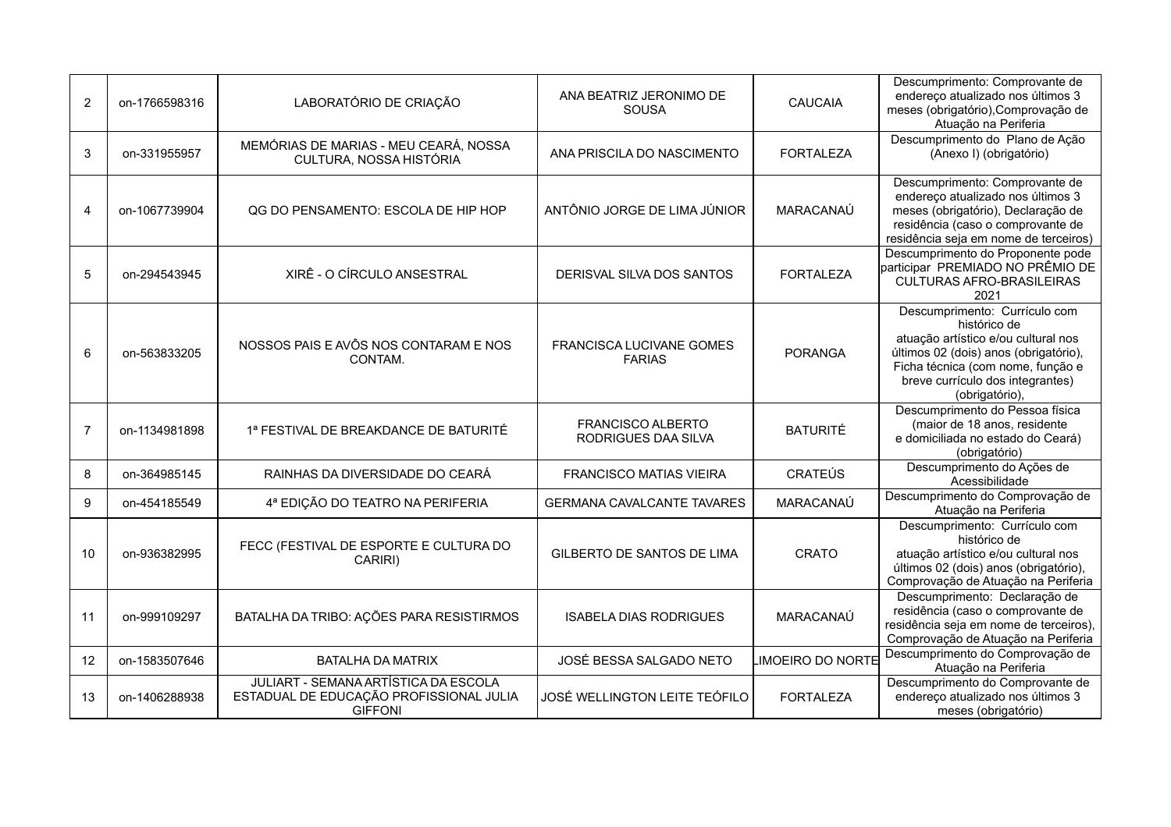| 2              | on-1766598316 | LABORATÓRIO DE CRIAÇÃO                                                                            | ANA BEATRIZ JERONIMO DE<br><b>SOUSA</b>         | <b>CAUCAIA</b>          | Descumprimento: Comprovante de<br>endereço atualizado nos últimos 3<br>meses (obrigatório), Comprovação de<br>Atuação na Periferia                                                                                       |
|----------------|---------------|---------------------------------------------------------------------------------------------------|-------------------------------------------------|-------------------------|--------------------------------------------------------------------------------------------------------------------------------------------------------------------------------------------------------------------------|
| 3              | on-331955957  | MEMÓRIAS DE MARIAS - MEU CEARÁ, NOSSA<br>CULTURA, NOSSA HISTÓRIA                                  | ANA PRISCILA DO NASCIMENTO                      | <b>FORTALEZA</b>        | Descumprimento do Plano de Ação<br>(Anexo I) (obrigatório)                                                                                                                                                               |
| 4              | on-1067739904 | QG DO PENSAMENTO: ESCOLA DE HIP HOP                                                               | ANTÔNIO JORGE DE LIMA JÚNIOR                    | MARACANAÚ               | Descumprimento: Comprovante de<br>endereço atualizado nos últimos 3<br>meses (obrigatório), Declaração de<br>residência (caso o comprovante de<br>residência seja em nome de terceiros)                                  |
| 5              | on-294543945  | XIRÊ - O CÍRCULO ANSESTRAL                                                                        | DERISVAL SILVA DOS SANTOS                       | <b>FORTALEZA</b>        | Descumprimento do Proponente pode<br>participar PREMIADO NO PRÊMIO DE<br><b>CULTURAS AFRO-BRASILEIRAS</b><br>2021                                                                                                        |
| 6              | on-563833205  | NOSSOS PAIS E AVÔS NOS CONTARAM E NOS<br>CONTAM.                                                  | FRANCISCA LUCIVANE GOMES<br><b>FARIAS</b>       | <b>PORANGA</b>          | Descumprimento: Currículo com<br>histórico de<br>atuação artístico e/ou cultural nos<br>últimos 02 (dois) anos (obrigatório),<br>Ficha técnica (com nome, função e<br>breve currículo dos integrantes)<br>(obrigatório), |
| $\overline{7}$ | on-1134981898 | 1ª FESTIVAL DE BREAKDANCE DE BATURITÉ                                                             | <b>FRANCISCO ALBERTO</b><br>RODRIGUES DAA SILVA | <b>BATURITÉ</b>         | Descumprimento do Pessoa física<br>(maior de 18 anos, residente<br>e domiciliada no estado do Ceará)<br>(obrigatório)                                                                                                    |
| 8              | on-364985145  | RAINHAS DA DIVERSIDADE DO CEARÁ                                                                   | <b>FRANCISCO MATIAS VIEIRA</b>                  | <b>CRATEÚS</b>          | Descumprimento do Ações de<br>Acessibilidade                                                                                                                                                                             |
| 9              | on-454185549  | 4ª EDIÇÃO DO TEATRO NA PERIFERIA                                                                  | <b>GERMANA CAVALCANTE TAVARES</b>               | MARACANAÚ               | Descumprimento do Comprovação de<br>Atuação na Periferia                                                                                                                                                                 |
| 10             | on-936382995  | FECC (FESTIVAL DE ESPORTE E CULTURA DO<br>CARIRI)                                                 | GILBERTO DE SANTOS DE LIMA                      | CRATO                   | Descumprimento: Currículo com<br>histórico de<br>atuação artístico e/ou cultural nos<br>últimos 02 (dois) anos (obrigatório),<br>Comprovação de Atuação na Periferia                                                     |
| 11             | on-999109297  | BATALHA DA TRIBO: AÇÕES PARA RESISTIRMOS                                                          | <b>ISABELA DIAS RODRIGUES</b>                   | MARACANAÚ               | Descumprimento: Declaração de<br>residência (caso o comprovante de<br>residência seja em nome de terceiros),<br>Comprovação de Atuação na Periferia                                                                      |
| 12             | on-1583507646 | <b>BATALHA DA MATRIX</b>                                                                          | JOSÉ BESSA SALGADO NETO                         | <b>IMOEIRO DO NORTE</b> | Descumprimento do Comprovação de<br>Atuação na Periferia                                                                                                                                                                 |
| 13             | on-1406288938 | JULIART - SEMANA ARTÍSTICA DA ESCOLA<br>ESTADUAL DE EDUCAÇÃO PROFISSIONAL JULIA<br><b>GIFFONI</b> | JOSÉ WELLINGTON LEITE TEÓFILO                   | <b>FORTALEZA</b>        | Descumprimento do Comprovante de<br>endereço atualizado nos últimos 3<br>meses (obrigatório)                                                                                                                             |